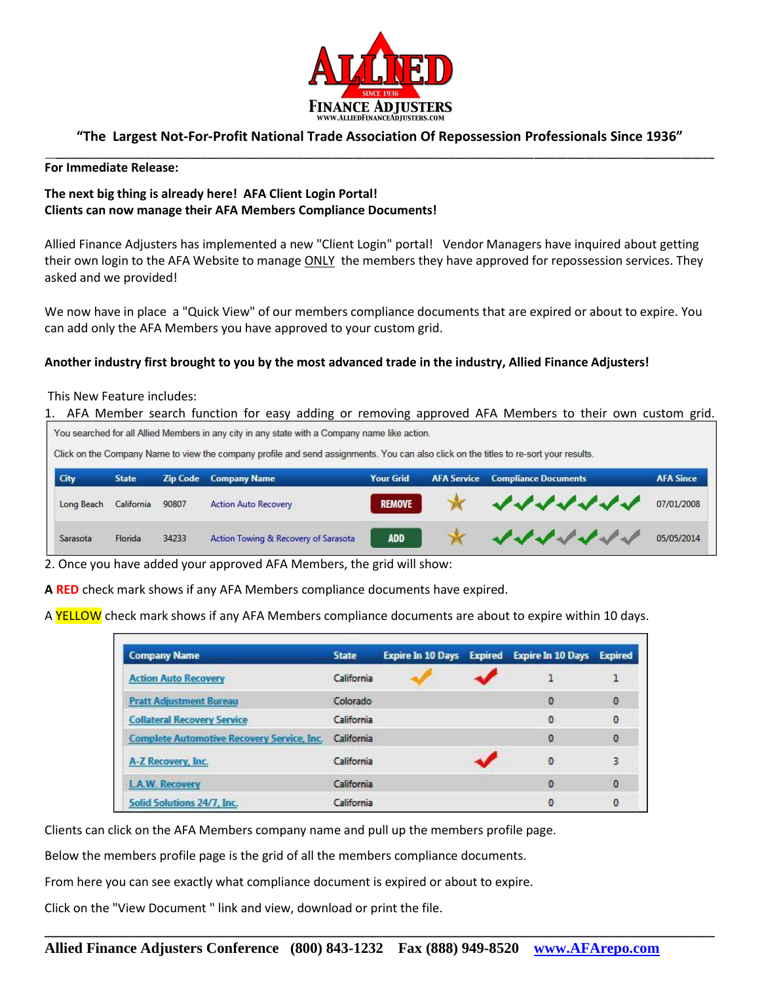

## **"The Largest Not-For-Profit National Trade Association Of Repossession Professionals Since 1936"** \_\_**\_\_\_\_\_\_\_\_\_\_\_\_\_\_\_\_\_\_\_\_\_\_\_\_\_\_\_\_\_\_\_\_\_\_\_\_\_\_\_\_\_\_\_\_\_\_\_\_\_\_\_\_\_\_\_\_\_\_\_\_\_\_\_\_\_\_\_\_\_\_\_\_\_\_\_\_\_\_\_\_\_\_\_\_\_\_\_\_\_\_\_\_\_\_\_\_\_\_\_\_\_\_\_\_\_\_\_\_\_\_\_\_\_\_\_\_\_**

#### **For Immediate Release:**

# **The next big thing is already here! AFA Client Login Portal! Clients can now manage their AFA Members Compliance Documents!**

Allied Finance Adjusters has implemented a new "Client Login" portal! Vendor Managers have inquired about getting their own login to the AFA Website to manage ONLY the members they have approved for repossession services. They asked and we provided!

We now have in place a "Quick View" of our members compliance documents that are expired or about to expire. You can add only the AFA Members you have approved to your custom grid.

### **Another industry first brought to you by the most advanced trade in the industry, Allied Finance Adjusters!**

#### This New Feature includes:

1. AFA Member search function for easy adding or removing approved AFA Members to their own custom grid. You searched for all Allied Members in any city in any state with a Company name like action.

Click on the Company Name to view the company profile and send assignments. You can also click on the titles to re-sort your results.

| City       | <b>State</b> |       | <b>Zip Code</b> Company Name         | <b>Your Grid</b> | <b>AFA Service Compliance Documents</b> | <b>AFA Since</b> |
|------------|--------------|-------|--------------------------------------|------------------|-----------------------------------------|------------------|
| Long Beach | California   | 90807 | <b>Action Auto Recovery</b>          | <b>REMOVE</b>    |                                         |                  |
| Sarasota   | Florida      | 34233 | Action Towing & Recovery of Sarasota | <b>ADD</b>       | マイイイイイイ                                 | 05/05/2014       |

2. Once you have added your approved AFA Members, the grid will show:

**A RED** check mark shows if any AFA Members compliance documents have expired.

A YELLOW check mark shows if any AFA Members compliance documents are about to expire within 10 days.

| <b>Company Name</b>                               | <b>State</b> | <b>Expire In 10 Days</b> | <b>Expired</b> | <b>Expire In 10 Days Expired</b> |              |
|---------------------------------------------------|--------------|--------------------------|----------------|----------------------------------|--------------|
| <b>Action Auto Recovery</b>                       | California   |                          |                |                                  |              |
| <b>Pratt Adjustment Bureau</b>                    | Colorado     |                          |                | 0                                | $\mathbf{0}$ |
| <b>Collateral Recovery Service</b>                | California   |                          |                | $^{\circ}$                       | 0            |
| <b>Complete Automotive Recovery Service, Inc.</b> | California   |                          |                | $\circ$                          | $\mathbf{0}$ |
| A-Z Recovery, Inc.                                | California   |                          |                | $\mathbf{0}$                     | 3            |
| <b>LAW. Recovery</b>                              | California   |                          |                | 0                                | 0            |
| Solid Solutions 24/7, Inc.                        | California   |                          |                | 0                                | O            |

Clients can click on the AFA Members company name and pull up the members profile page.

Below the members profile page is the grid of all the members compliance documents.

From here you can see exactly what compliance document is expired or about to expire.

Click on the "View Document " link and view, download or print the file.

**\_\_\_\_\_\_\_\_\_\_\_\_\_\_\_\_\_\_\_\_\_\_\_\_\_\_\_\_\_\_\_\_\_\_\_\_\_\_\_\_\_\_\_\_\_\_\_\_\_\_\_\_\_\_\_\_\_\_\_\_\_\_\_\_\_\_\_\_\_\_\_\_\_\_\_\_\_\_\_\_\_\_\_\_\_\_\_\_\_\_**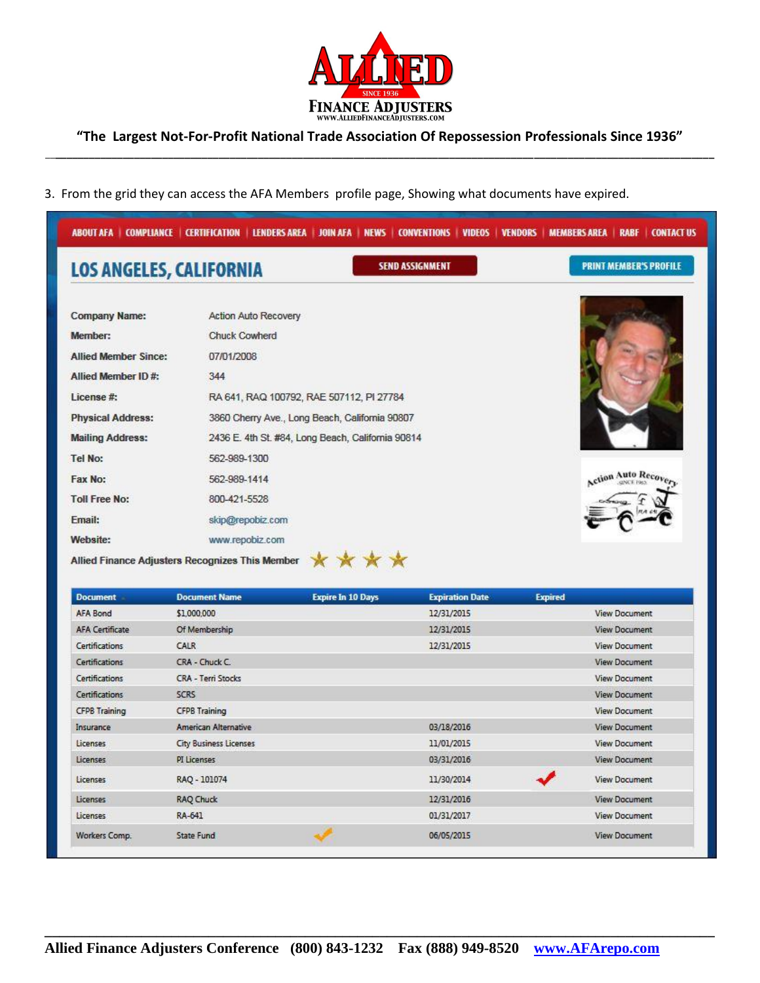

**"The Largest Not-For-Profit National Trade Association Of Repossession Professionals Since 1936"** \_\_**\_\_\_\_\_\_\_\_\_\_\_\_\_\_\_\_\_\_\_\_\_\_\_\_\_\_\_\_\_\_\_\_\_\_\_\_\_\_\_\_\_\_\_\_\_\_\_\_\_\_\_\_\_\_\_\_\_\_\_\_\_\_\_\_\_\_\_\_\_\_\_\_\_\_\_\_\_\_\_\_\_\_\_\_\_\_\_\_\_\_\_\_\_\_\_\_\_\_\_\_\_\_\_\_\_\_\_\_\_\_\_\_\_\_\_\_\_**

3. From the grid they can access the AFA Members profile page, Showing what documents have expired.

| <b>LOS ANGELES, CALIFORNIA</b> | <b>SEND ASSIGNMENT</b>                            | <b>PRINT MEMBER'S PROFILE</b> |
|--------------------------------|---------------------------------------------------|-------------------------------|
| <b>Company Name:</b>           | <b>Action Auto Recovery</b>                       |                               |
| Member:                        | <b>Chuck Cowherd</b>                              |                               |
| <b>Allied Member Since:</b>    | 07/01/2008                                        |                               |
| Allied Member ID#:             | 344                                               |                               |
| License #:                     | RA 641, RAQ 100792, RAE 507112, PI 27784          |                               |
| <b>Physical Address:</b>       | 3860 Cherry Ave., Long Beach, California 90807    |                               |
| <b>Mailing Address:</b>        | 2436 E. 4th St. #84, Long Beach, California 90814 |                               |
| <b>Tel No:</b>                 | 562-989-1300                                      |                               |
| Fax No:                        | 562-989-1414                                      | Action Auto Recov             |
| <b>Toll Free No:</b>           | 800-421-5528                                      |                               |
| Email:                         | skip@repobiz.com                                  |                               |
| Website:                       | www.repobiz.com                                   |                               |

| <b>Document</b>        | <b>Document Name</b>          | <b>Expire In 10 Days</b> | <b>Expiration Date</b> | <b>Expired</b> |                      |
|------------------------|-------------------------------|--------------------------|------------------------|----------------|----------------------|
| <b>AFA Bond</b>        | \$1,000,000                   |                          | 12/31/2015             |                | <b>View Document</b> |
| <b>AFA Certificate</b> | Of Membership                 |                          | 12/31/2015             |                | <b>View Document</b> |
| <b>Certifications</b>  | CALR                          |                          | 12/31/2015             |                | <b>View Document</b> |
| <b>Certifications</b>  | CRA - Chuck C.                |                          |                        |                | <b>View Document</b> |
| Certifications         | <b>CRA - Terri Stocks</b>     |                          |                        |                | <b>View Document</b> |
| Certifications         | <b>SCRS</b>                   |                          |                        |                | <b>View Document</b> |
| <b>CFPB Training</b>   | <b>CFPB Training</b>          |                          |                        |                | <b>View Document</b> |
| Insurance              | American Alternative          |                          | 03/18/2016             |                | <b>View Document</b> |
| Licenses               | <b>City Business Licenses</b> |                          | 11/01/2015             |                | <b>View Document</b> |
| <b>Licenses</b>        | PI Licenses                   |                          | 03/31/2016             |                | <b>View Document</b> |
| Licenses               | RAQ - 101074                  |                          | 11/30/2014             |                | <b>View Document</b> |
| Licenses               | <b>RAQ Chuck</b>              |                          | 12/31/2016             |                | <b>View Document</b> |
| <b>Licenses</b>        | RA-641                        |                          | 01/31/2017             |                | <b>View Document</b> |
| Workers Comp.          | State Fund                    |                          | 06/05/2015             |                | <b>View Document</b> |
|                        |                               |                          |                        |                |                      |

**\_\_\_\_\_\_\_\_\_\_\_\_\_\_\_\_\_\_\_\_\_\_\_\_\_\_\_\_\_\_\_\_\_\_\_\_\_\_\_\_\_\_\_\_\_\_\_\_\_\_\_\_\_\_\_\_\_\_\_\_\_\_\_\_\_\_\_\_\_\_\_\_\_\_\_\_\_\_\_\_\_\_\_\_\_\_\_\_\_\_**